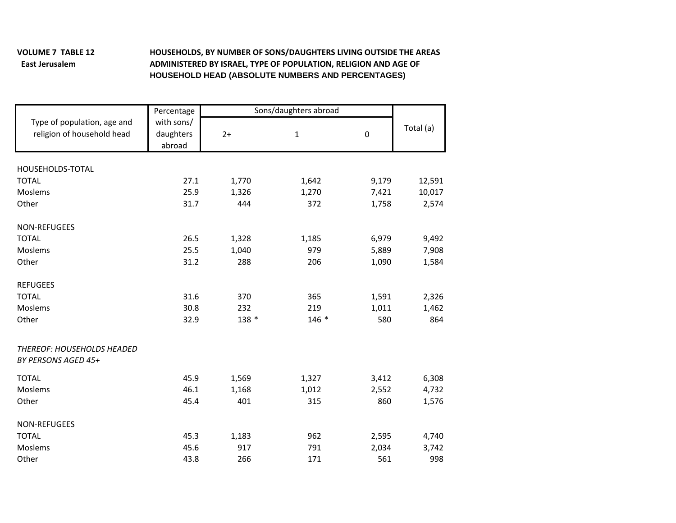## **VOLUME 7East**

## **TABLE 12 HOUSEHOLDS, BY NUMBER OF SONS/DAUGHTERS LIVING OUTSIDE THE AREAS Jerusalem ADMINISTERED BY ISRAEL, TYPE OF POPULATION, RELIGION AND AGE OF HOUSEHOLD HEAD (ABSOLUTE NUMBERS AND PERCENTAGES)**

|                                                           | Percentage                        | Sons/daughters abroad |              |                  |           |  |
|-----------------------------------------------------------|-----------------------------------|-----------------------|--------------|------------------|-----------|--|
| Type of population, age and<br>religion of household head | with sons/<br>daughters<br>abroad | $2+$                  | $\mathbf{1}$ | $\boldsymbol{0}$ | Total (a) |  |
| HOUSEHOLDS-TOTAL                                          |                                   |                       |              |                  |           |  |
| <b>TOTAL</b>                                              | 27.1                              | 1,770                 | 1,642        | 9,179            | 12,591    |  |
| Moslems                                                   | 25.9                              | 1,326                 | 1,270        | 7,421            | 10,017    |  |
| Other                                                     | 31.7                              | 444                   | 372          | 1,758            | 2,574     |  |
| <b>NON-REFUGEES</b>                                       |                                   |                       |              |                  |           |  |
| <b>TOTAL</b>                                              | 26.5                              | 1,328                 | 1,185        | 6,979            | 9,492     |  |
| Moslems                                                   | 25.5                              | 1,040                 | 979          | 5,889            | 7,908     |  |
| Other                                                     | 31.2                              | 288                   | 206          | 1,090            | 1,584     |  |
| <b>REFUGEES</b>                                           |                                   |                       |              |                  |           |  |
| <b>TOTAL</b>                                              | 31.6                              | 370                   | 365          | 1,591            | 2,326     |  |
| Moslems                                                   | 30.8                              | 232                   | 219          | 1,011            | 1,462     |  |
| Other                                                     | 32.9                              | 138 *                 | 146 *        | 580              | 864       |  |
| THEREOF: HOUSEHOLDS HEADED<br>BY PERSONS AGED 45+         |                                   |                       |              |                  |           |  |
| <b>TOTAL</b>                                              | 45.9                              | 1,569                 | 1,327        | 3,412            | 6,308     |  |
| Moslems                                                   | 46.1                              | 1,168                 | 1,012        | 2,552            | 4,732     |  |
| Other                                                     | 45.4                              | 401                   | 315          | 860              | 1,576     |  |
| <b>NON-REFUGEES</b>                                       |                                   |                       |              |                  |           |  |
| <b>TOTAL</b>                                              | 45.3                              | 1,183                 | 962          | 2,595            | 4,740     |  |
| Moslems                                                   | 45.6                              | 917                   | 791          | 2,034            | 3,742     |  |
| Other                                                     | 43.8                              | 266                   | 171          | 561              | 998       |  |